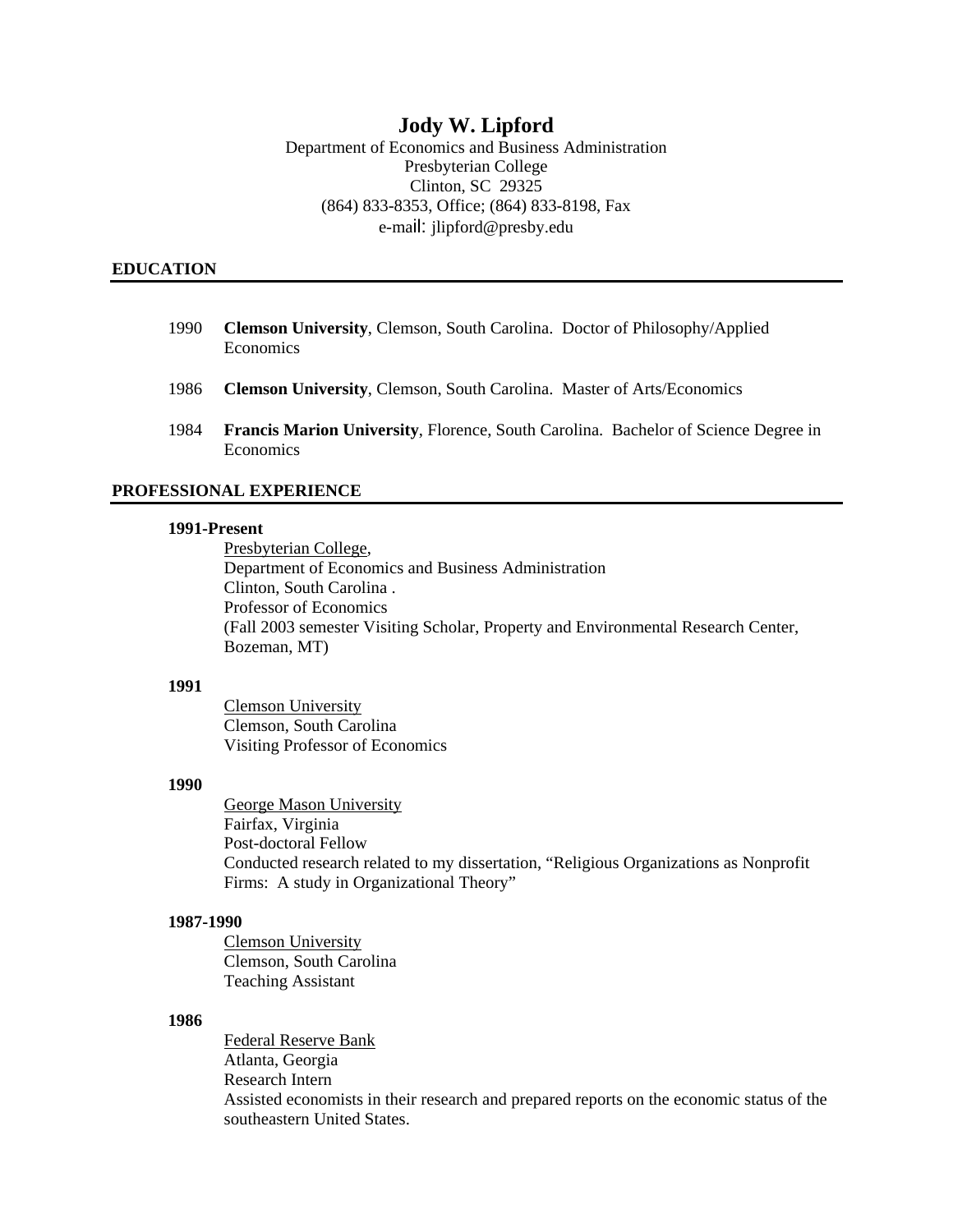# **Jody W. Lipford**

Department of Economics and Business Administration Presbyterian College Clinton, SC 29325 (864) 833-8353, Office; (864) 833-8198, Fax e-mail: jlipford@presby.edu

### **EDUCATION**

- 1990 **Clemson University**, Clemson, South Carolina. Doctor of Philosophy/Applied Economics
- 1986 **Clemson University**, Clemson, South Carolina. Master of Arts/Economics
- 1984 **Francis Marion University**, Florence, South Carolina. Bachelor of Science Degree in Economics

### **PROFESSIONAL EXPERIENCE**

#### **1991-Present**

Presbyterian College, Department of Economics and Business Administration Clinton, South Carolina . Professor of Economics (Fall 2003 semester Visiting Scholar, Property and Environmental Research Center, Bozeman, MT)

## **1991**

Clemson University Clemson, South Carolina Visiting Professor of Economics

## **1990**

George Mason University Fairfax, Virginia Post-doctoral Fellow Conducted research related to my dissertation, "Religious Organizations as Nonprofit Firms: A study in Organizational Theory"

### **1987-1990**

Clemson University Clemson, South Carolina Teaching Assistant

### **1986**

Federal Reserve Bank Atlanta, Georgia Research Intern Assisted economists in their research and prepared reports on the economic status of the southeastern United States.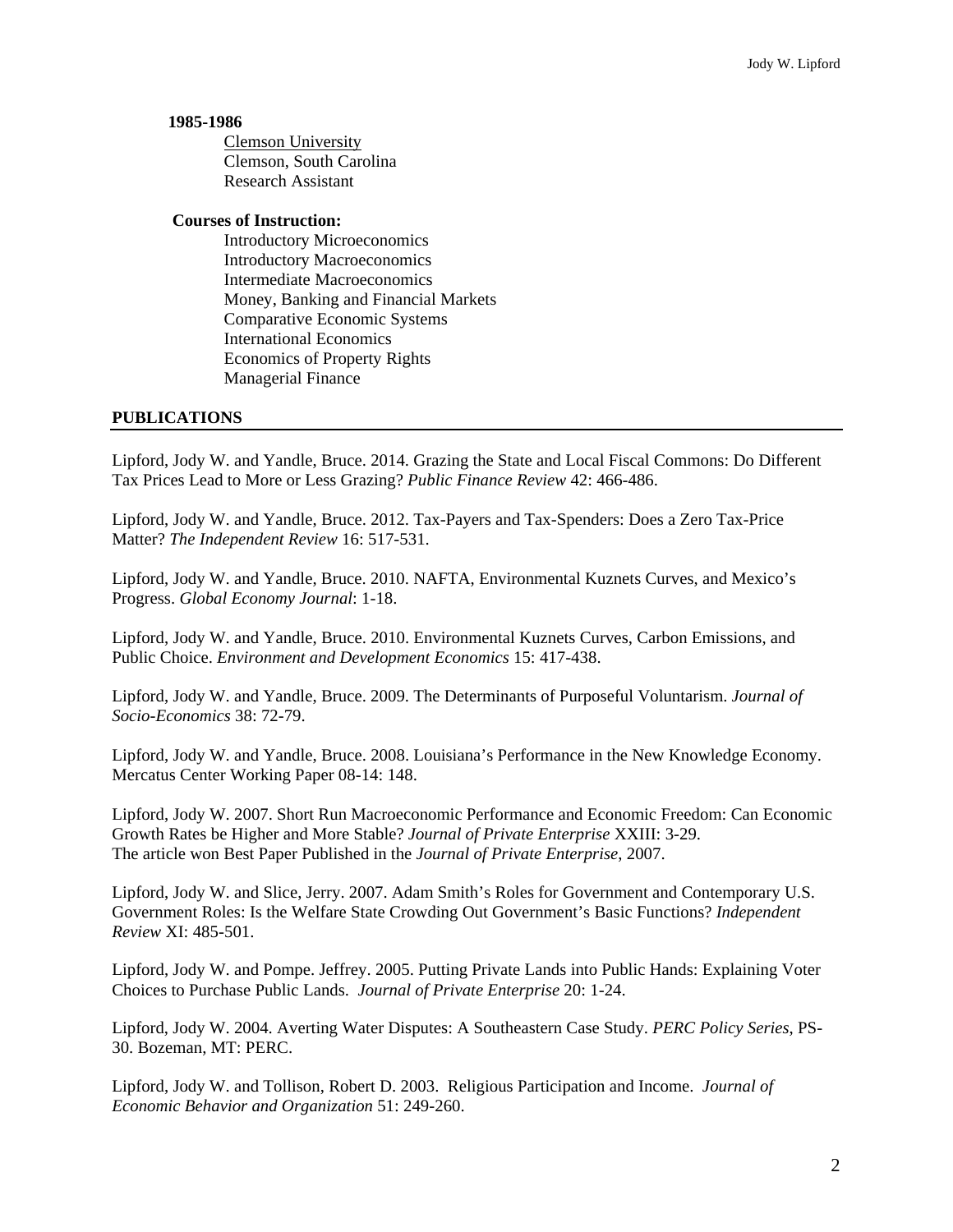### **1985-1986**

 Clemson University Clemson, South Carolina Research Assistant

### **Courses of Instruction:**

 Introductory Microeconomics Introductory Macroeconomics Intermediate Macroeconomics Money, Banking and Financial Markets Comparative Economic Systems International Economics Economics of Property Rights Managerial Finance

### **PUBLICATIONS**

Lipford, Jody W. and Yandle, Bruce. 2014. Grazing the State and Local Fiscal Commons: Do Different Tax Prices Lead to More or Less Grazing? *Public Finance Review* 42: 466-486.

Lipford, Jody W. and Yandle, Bruce. 2012. Tax-Payers and Tax-Spenders: Does a Zero Tax-Price Matter? *The Independent Review* 16: 517-531.

Lipford, Jody W. and Yandle, Bruce. 2010. NAFTA, Environmental Kuznets Curves, and Mexico's Progress. *Global Economy Journal*: 1-18.

Lipford, Jody W. and Yandle, Bruce. 2010. Environmental Kuznets Curves, Carbon Emissions, and Public Choice. *Environment and Development Economics* 15: 417-438.

Lipford, Jody W. and Yandle, Bruce. 2009. The Determinants of Purposeful Voluntarism. *Journal of Socio-Economics* 38: 72-79.

Lipford, Jody W. and Yandle, Bruce. 2008. Louisiana's Performance in the New Knowledge Economy. Mercatus Center Working Paper 08-14: 148.

Lipford, Jody W. 2007. Short Run Macroeconomic Performance and Economic Freedom: Can Economic Growth Rates be Higher and More Stable? *Journal of Private Enterprise* XXIII: 3-29. The article won Best Paper Published in the *Journal of Private Enterprise*, 2007.

Lipford, Jody W. and Slice, Jerry. 2007. Adam Smith's Roles for Government and Contemporary U.S. Government Roles: Is the Welfare State Crowding Out Government's Basic Functions? *Independent Review* XI: 485-501.

Lipford, Jody W. and Pompe. Jeffrey. 2005. Putting Private Lands into Public Hands: Explaining Voter Choices to Purchase Public Lands. *Journal of Private Enterprise* 20: 1-24.

Lipford, Jody W. 2004. Averting Water Disputes: A Southeastern Case Study. *PERC Policy Series*, PS-30. Bozeman, MT: PERC.

Lipford, Jody W. and Tollison, Robert D. 2003. Religious Participation and Income. *Journal of Economic Behavior and Organization* 51: 249-260.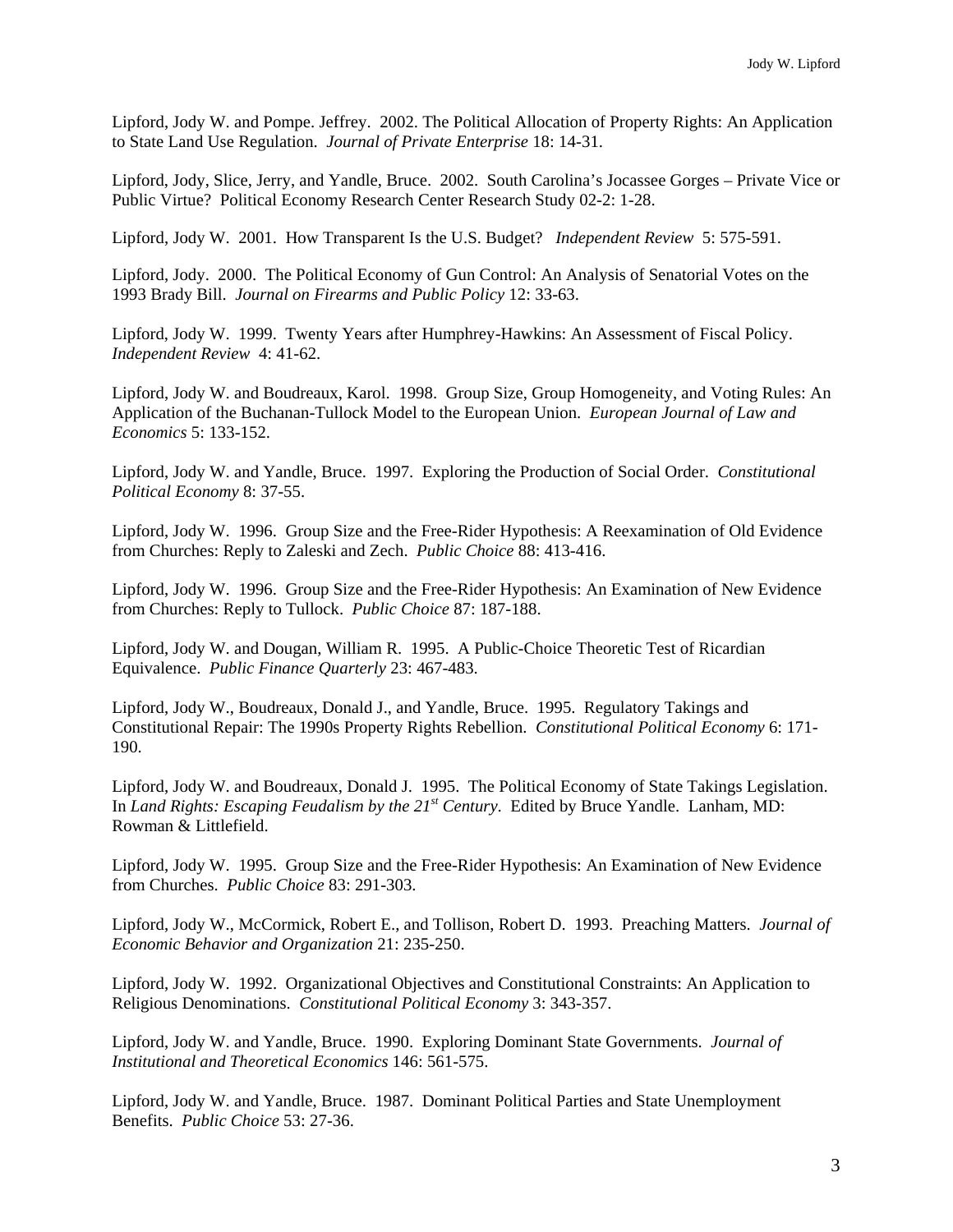Lipford, Jody W. and Pompe. Jeffrey. 2002. The Political Allocation of Property Rights: An Application to State Land Use Regulation. *Journal of Private Enterprise* 18: 14-31.

Lipford, Jody, Slice, Jerry, and Yandle, Bruce. 2002. South Carolina's Jocassee Gorges – Private Vice or Public Virtue? Political Economy Research Center Research Study 02-2: 1-28.

Lipford, Jody W. 2001. How Transparent Is the U.S. Budget? *Independent Review* 5: 575-591.

Lipford, Jody. 2000. The Political Economy of Gun Control: An Analysis of Senatorial Votes on the 1993 Brady Bill. *Journal on Firearms and Public Policy* 12: 33-63.

Lipford, Jody W. 1999. Twenty Years after Humphrey-Hawkins: An Assessment of Fiscal Policy. *Independent Review* 4: 41-62.

Lipford, Jody W. and Boudreaux, Karol. 1998. Group Size, Group Homogeneity, and Voting Rules: An Application of the Buchanan-Tullock Model to the European Union. *European Journal of Law and Economics* 5: 133-152.

Lipford, Jody W. and Yandle, Bruce. 1997. Exploring the Production of Social Order. *Constitutional Political Economy* 8: 37-55.

Lipford, Jody W. 1996. Group Size and the Free-Rider Hypothesis: A Reexamination of Old Evidence from Churches: Reply to Zaleski and Zech. *Public Choice* 88: 413-416.

Lipford, Jody W. 1996. Group Size and the Free-Rider Hypothesis: An Examination of New Evidence from Churches: Reply to Tullock. *Public Choice* 87: 187-188.

Lipford, Jody W. and Dougan, William R. 1995. A Public-Choice Theoretic Test of Ricardian Equivalence. *Public Finance Quarterly* 23: 467-483.

Lipford, Jody W., Boudreaux, Donald J., and Yandle, Bruce. 1995. Regulatory Takings and Constitutional Repair: The 1990s Property Rights Rebellion. *Constitutional Political Economy* 6: 171- 190.

Lipford, Jody W. and Boudreaux, Donald J. 1995. The Political Economy of State Takings Legislation. In *Land Rights: Escaping Feudalism by the 21st Century*. Edited by Bruce Yandle. Lanham, MD: Rowman & Littlefield.

Lipford, Jody W. 1995. Group Size and the Free-Rider Hypothesis: An Examination of New Evidence from Churches. *Public Choice* 83: 291-303.

Lipford, Jody W., McCormick, Robert E., and Tollison, Robert D. 1993. Preaching Matters. *Journal of Economic Behavior and Organization* 21: 235-250.

Lipford, Jody W. 1992. Organizational Objectives and Constitutional Constraints: An Application to Religious Denominations. *Constitutional Political Economy* 3: 343-357.

Lipford, Jody W. and Yandle, Bruce. 1990. Exploring Dominant State Governments. *Journal of Institutional and Theoretical Economics* 146: 561-575.

Lipford, Jody W. and Yandle, Bruce. 1987. Dominant Political Parties and State Unemployment Benefits. *Public Choice* 53: 27-36.